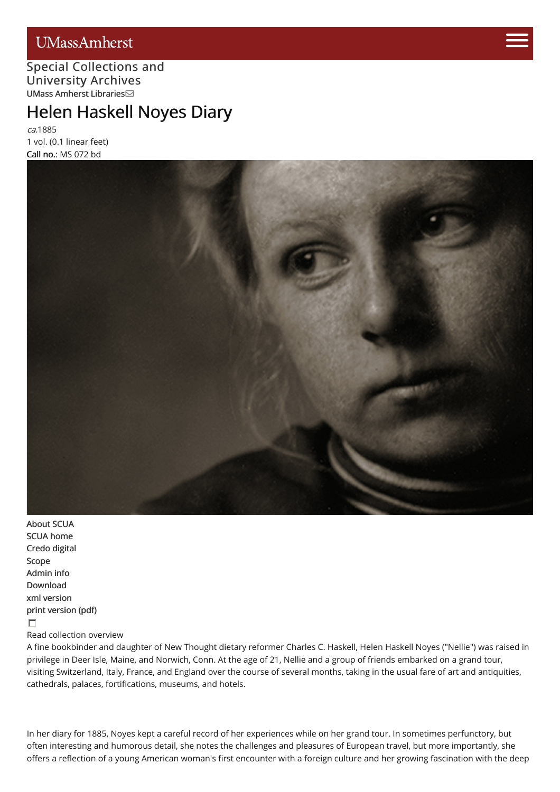# **UMassAmherst**



#### Special [Collections](http://scua.library.umass.edu) [and](https://www.umass.edu/admissions/visits/visit-campus) University Archives UMass Amherst [Libraries](http://library.umass.edu)

# Helen Haskell [Noyes](https://www.umass.edu/admissions) Diary

ca.1885 1 vol. (0.1 linear feet) Call no.: MS 072 bd



[About](http://scua.library.umass.edu/) SCUA SCUA [home](http://scua.library.umass.edu) [Credo](http://credo.library.umass.edu/) digital [Scope](#page-1-0) [Admin](#page-1-1) info [Download](http://scua.library.umass.edu/) xml [version](file:///tmp/mums072.xml) print [version](file:///tmp/mums072.pdf) (pdf)  $\Box$ Read collection overview

A fine bookbinder and daughter of New Thought dietary reformer Charles C. Haskell, Helen Haskell Noyes ("Nellie") was raised in privilege in Deer Isle, Maine, and Norwich, Conn. At the age of 21, Nellie and a group of friends embarked on a grand tour, visiting Switzerland, Italy, France, and England over the course of several months, taking in the usual fare of art and antiquities, cathedrals, palaces, fortifications, museums, and hotels.

In her diary for 1885, Noyes kept a careful record of her experiences while on her grand tour. In sometimes perfunctory, but often interesting and humorous detail, she notes the challenges and pleasures of European travel, but more importantly, she offers a reflection of a young American woman's first encounter with a foreign culture and her growing fascination with the deep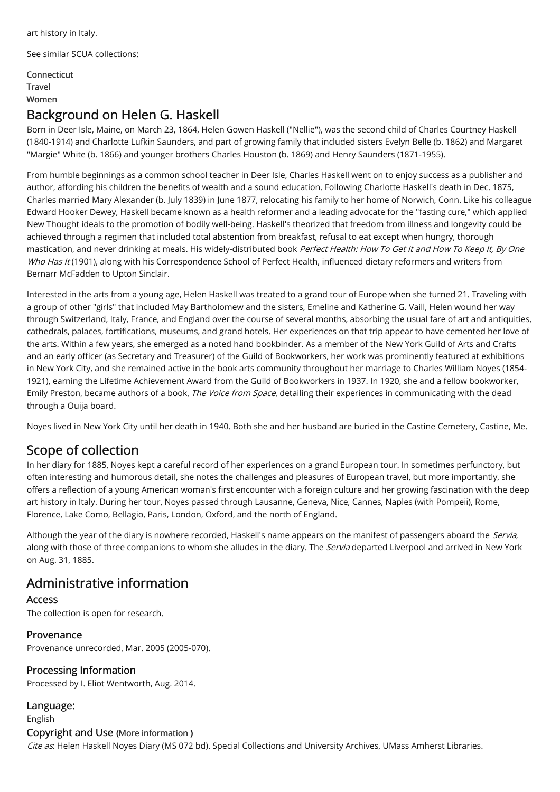art history in Italy.

See similar SCUA collections:

[Connecticut](http://scua.library.umass.edu/umarmot/category/new-england/connecticut) [Travel](http://scua.library.umass.edu/umarmot/category/travel) [Women](http://scua.library.umass.edu/umarmot/category/Women)

### Background on Helen G. Haskell

Born in Deer Isle, Maine, on March 23, 1864, Helen Gowen Haskell ("Nellie"), was the second child of Charles Courtney Haskell (1840-1914) and Charlotte Lufkin Saunders, and part of growing family that included sisters Evelyn Belle (b. 1862) and Margaret "Margie" White (b. 1866) and younger brothers Charles Houston (b. 1869) and Henry Saunders (1871-1955).

From humble beginnings as a common school teacher in Deer Isle, Charles Haskell went on to enjoy success as a publisher and author, affording his children the benefits of wealth and a sound education. Following Charlotte Haskell's death in Dec. 1875, Charles married Mary Alexander (b. July 1839) in June 1877, relocating his family to her home of Norwich, Conn. Like his colleague Edward Hooker Dewey, Haskell became known as a health reformer and a leading advocate for the "fasting cure," which applied New Thought ideals to the promotion of bodily well-being. Haskell's theorized that freedom from illness and longevity could be achieved through a regimen that included total abstention from breakfast, refusal to eat except when hungry, thorough mastication, and never drinking at meals. His widely-distributed book Perfect Health: How To Get It and How To Keep It, By One Who Has It (1901), along with his Correspondence School of Perfect Health, influenced dietary reformers and writers from Bernarr McFadden to Upton Sinclair.

Interested in the arts from a young age, Helen Haskell was treated to a grand tour of Europe when she turned 21. Traveling with a group of other "girls" that included May Bartholomew and the sisters, Emeline and Katherine G. Vaill, Helen wound her way through Switzerland, Italy, France, and England over the course of several months, absorbing the usual fare of art and antiquities, cathedrals, palaces, fortifications, museums, and grand hotels. Her experiences on that trip appear to have cemented her love of the arts. Within a few years, she emerged as a noted hand bookbinder. As a member of the New York Guild of Arts and Crafts and an early officer (as Secretary and Treasurer) of the Guild of Bookworkers, her work was prominently featured at exhibitions in New York City, and she remained active in the book arts community throughout her marriage to Charles William Noyes (1854- 1921), earning the Lifetime Achievement Award from the Guild of Bookworkers in 1937. In 1920, she and a fellow bookworker, Emily Preston, became authors of a book, The Voice from Space, detailing their experiences in communicating with the dead through a Ouija board.

Noyes lived in New York City until her death in 1940. Both she and her husband are buried in the Castine Cemetery, Castine, Me.

# <span id="page-1-0"></span>Scope of collection

In her diary for 1885, Noyes kept a careful record of her experiences on a grand European tour. In sometimes perfunctory, but often interesting and humorous detail, she notes the challenges and pleasures of European travel, but more importantly, she offers a reflection of a young American woman's first encounter with a foreign culture and her growing fascination with the deep art history in Italy. During her tour, Noyes passed through Lausanne, Geneva, Nice, Cannes, Naples (with Pompeii), Rome, Florence, Lake Como, Bellagio, Paris, London, Oxford, and the north of England.

Although the year of the diary is nowhere recorded, Haskell's name appears on the manifest of passengers aboard the Servia, along with those of three companions to whom she alludes in the diary. The Servia departed Liverpool and arrived in New York on Aug. 31, 1885.

# <span id="page-1-1"></span>Administrative information

Access The collection is open for research.

Provenance Provenance unrecorded, Mar. 2005 (2005-070).

Processing Information Processed by I. Eliot Wentworth, Aug. 2014.

Language: English Copyright and Use (More [information](http://scua.library.umass.edu/umarmot/?page_id=690) ) Cite as. Helen Haskell Noyes Diary (MS 072 bd). Special Collections and University Archives, UMass Amherst Libraries.